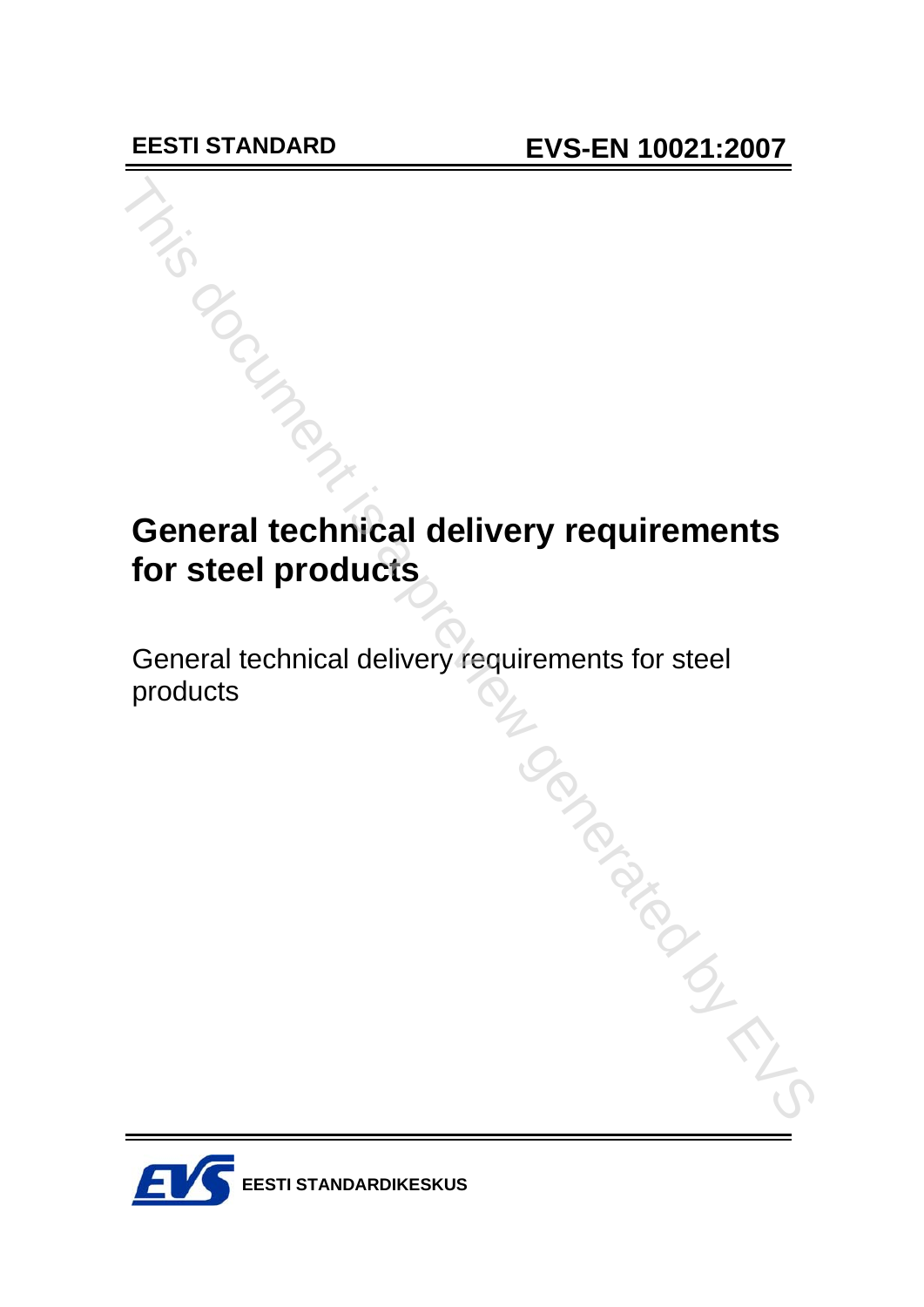## **General technical delivery requirements for steel products**

General technical delivery requirements for steel products CH<sub>IS CONGLATING</sub>

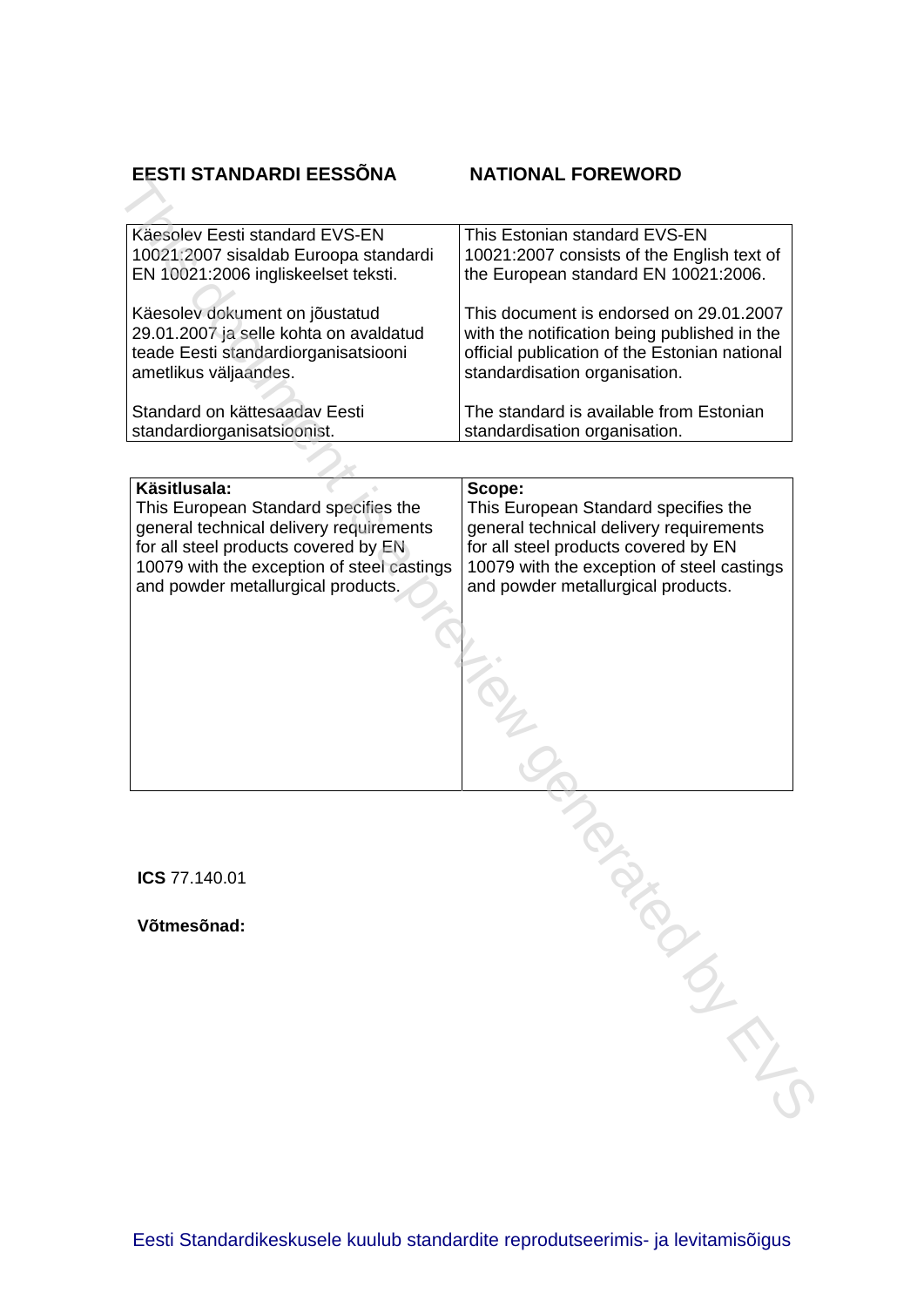#### **EESTI STANDARDI EESSÕNA**

| Käesolev Eesti standard EVS-EN         | This Estonian standard EVS-EN                 |
|----------------------------------------|-----------------------------------------------|
| 10021:2007 sisaldab Euroopa standardi  | 10021:2007 consists of the English text of    |
| EN 10021:2006 ingliskeelset teksti.    | the European standard EN 10021:2006.          |
| Käesolev dokument on jõustatud         | This document is endorsed on 29.01.2007       |
| 29.01.2007 ja selle kohta on avaldatud | with the notification being published in the  |
| teade Eesti standardiorganisatsiooni   | official publication of the Estonian national |
| ametlikus väljaandes.                  | standardisation organisation.                 |
| Standard on kättesaadav Eesti          | The standard is available from Estonian       |
| standardiorganisatsioonist.            | standardisation organisation.                 |
|                                        |                                               |

| EESTI STANDARDI EESSÕNA                                                                                                                                                                                                     | <b>NATIONAL FOREWORD</b>                                                                                                                                                                                              |
|-----------------------------------------------------------------------------------------------------------------------------------------------------------------------------------------------------------------------------|-----------------------------------------------------------------------------------------------------------------------------------------------------------------------------------------------------------------------|
|                                                                                                                                                                                                                             |                                                                                                                                                                                                                       |
| Käesolev Eesti standard EVS-EN<br>10021:2007 sisaldab Euroopa standardi<br>EN 10021:2006 ingliskeelset teksti.                                                                                                              | This Estonian standard EVS-EN<br>10021:2007 consists of the English text of<br>the European standard EN 10021:2006.                                                                                                   |
| Käesolev dokument on jõustatud<br>29.01.2007 ja selle kohta on avaldatud<br>teade Eesti standardiorganisatsiooni<br>ametlikus väljaandes.                                                                                   | This document is endorsed on 29.01.2007<br>with the notification being published in the<br>official publication of the Estonian national<br>standardisation organisation.                                             |
| Standard on kättesaadav Eesti<br>standardiorganisatsioonist.                                                                                                                                                                | The standard is available from Estonian<br>standardisation organisation.                                                                                                                                              |
|                                                                                                                                                                                                                             |                                                                                                                                                                                                                       |
| Käsitlusala:<br>This European Standard specifies the<br>general technical delivery requirements<br>for all steel products covered by EN<br>10079 with the exception of steel castings<br>and powder metallurgical products. | Scope:<br>This European Standard specifies the<br>general technical delivery requirements<br>for all steel products covered by EN<br>10079 with the exception of steel castings<br>and powder metallurgical products. |
|                                                                                                                                                                                                                             |                                                                                                                                                                                                                       |
|                                                                                                                                                                                                                             |                                                                                                                                                                                                                       |
|                                                                                                                                                                                                                             |                                                                                                                                                                                                                       |
| ICS 77.140.01                                                                                                                                                                                                               |                                                                                                                                                                                                                       |
| Võtmesõnad:                                                                                                                                                                                                                 |                                                                                                                                                                                                                       |
|                                                                                                                                                                                                                             |                                                                                                                                                                                                                       |
|                                                                                                                                                                                                                             |                                                                                                                                                                                                                       |
|                                                                                                                                                                                                                             |                                                                                                                                                                                                                       |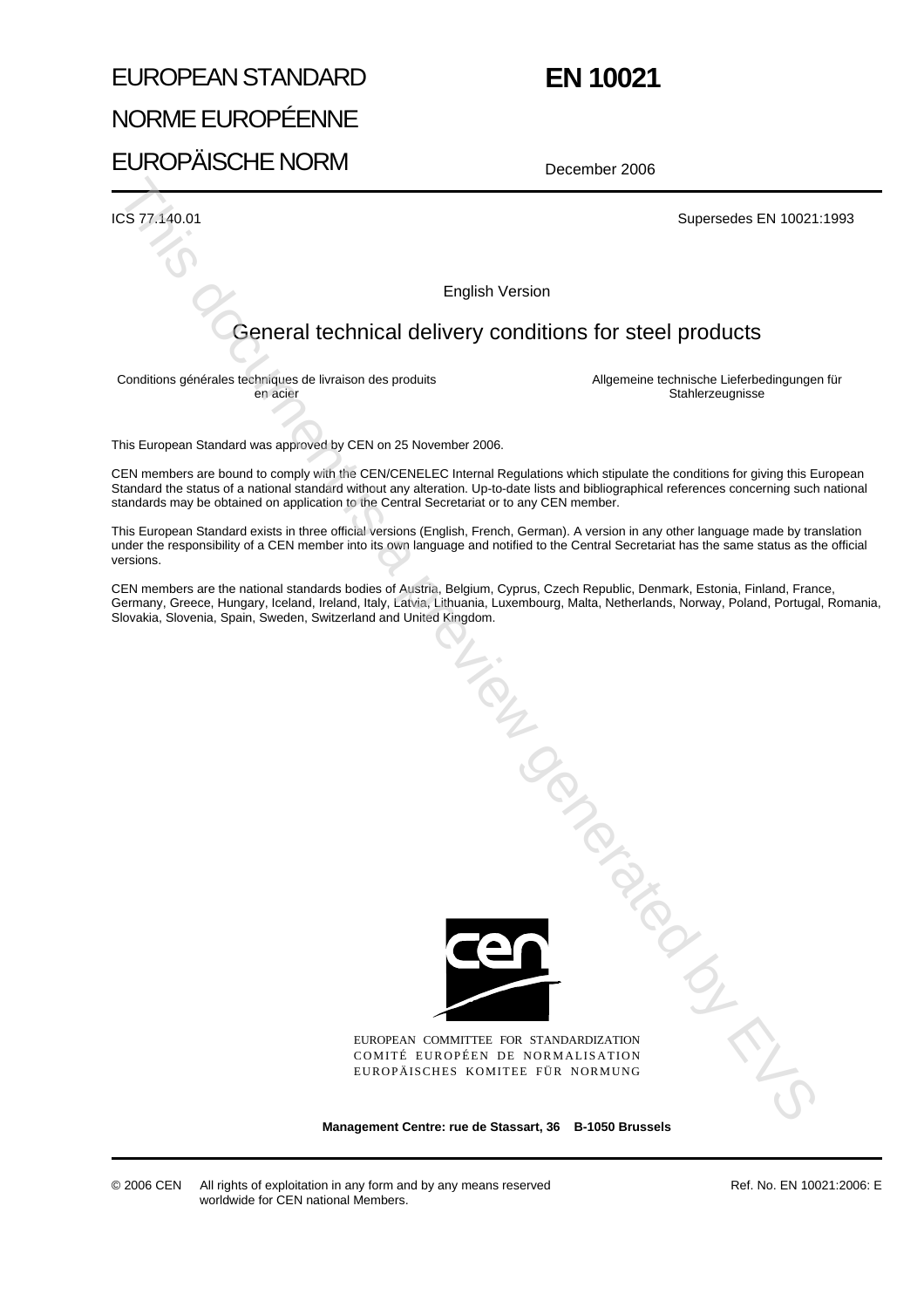## EUROPEAN STANDARD NORME EUROPÉENNE EUROPÄISCHE NORM

## **EN 10021**

December 2006

ICS 77.140.01 Supersedes EN 10021:1993

English Version

#### General technical delivery conditions for steel products

Conditions générales techniques de livraison des produits en acier

Allgemeine technische Lieferbedingungen für **Stahlerzeugnisse** 

This European Standard was approved by CEN on 25 November 2006.

CEN members are bound to comply with the CEN/CENELEC Internal Regulations which stipulate the conditions for giving this European Standard the status of a national standard without any alteration. Up-to-date lists and bibliographical references concerning such national standards may be obtained on application to the Central Secretariat or to any CEN member.

This European Standard exists in three official versions (English, French, German). A version in any other language made by translation under the responsibility of a CEN member into its own language and notified to the Central Secretariat has the same status as the official versions.

CEN members are the national standards bodies of Austria, Belgium, Cyprus, Czech Republic, Denmark, Estonia, Finland, France, Germany, Greece, Hungary, Iceland, Ireland, Italy, Latvia, Lithuania, Luxembourg, Malta, Netherlands, Norway, Poland, Portugal, Romania, Slovakia, Slovenia, Spain, Sweden, Switzerland and United Kingdom.



EUROPEAN COMMITTEE FOR STANDARDIZATION COMITÉ EUROPÉEN DE NORMALISATION EUROPÄISCHES KOMITEE FÜR NORMUNG

**Management Centre: rue de Stassart, 36 B-1050 Brussels**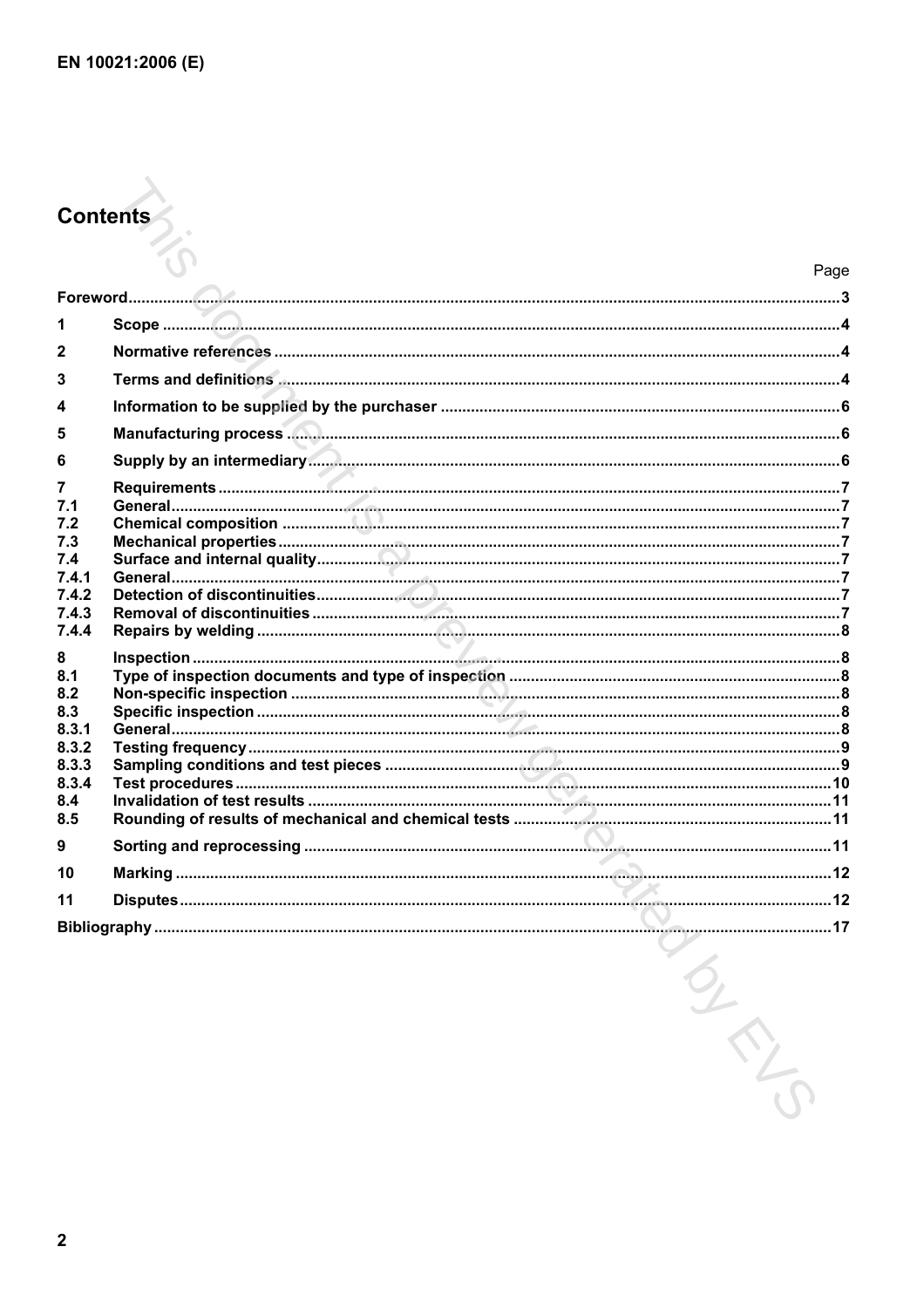# **Contents**

|                | Page |
|----------------|------|
|                |      |
| 1              |      |
| $\mathbf{2}$   |      |
| 3              |      |
| 4              |      |
| 5              |      |
| 6              |      |
| $\overline{7}$ |      |
| 7.1            |      |
| 7.2<br>7.3     |      |
| 7.4            |      |
| 7.4.1          |      |
| 7.4.2<br>7.4.3 |      |
| 7.4.4          |      |
| 8              |      |
| 8.1            |      |
| 8.2<br>8.3     |      |
| 8.3.1          |      |
| 8.3.2          |      |
| 8.3.3<br>8.3.4 |      |
| 8.4            |      |
| 8.5            |      |
| 9              |      |
| 10             |      |
| 11             |      |
|                |      |
|                |      |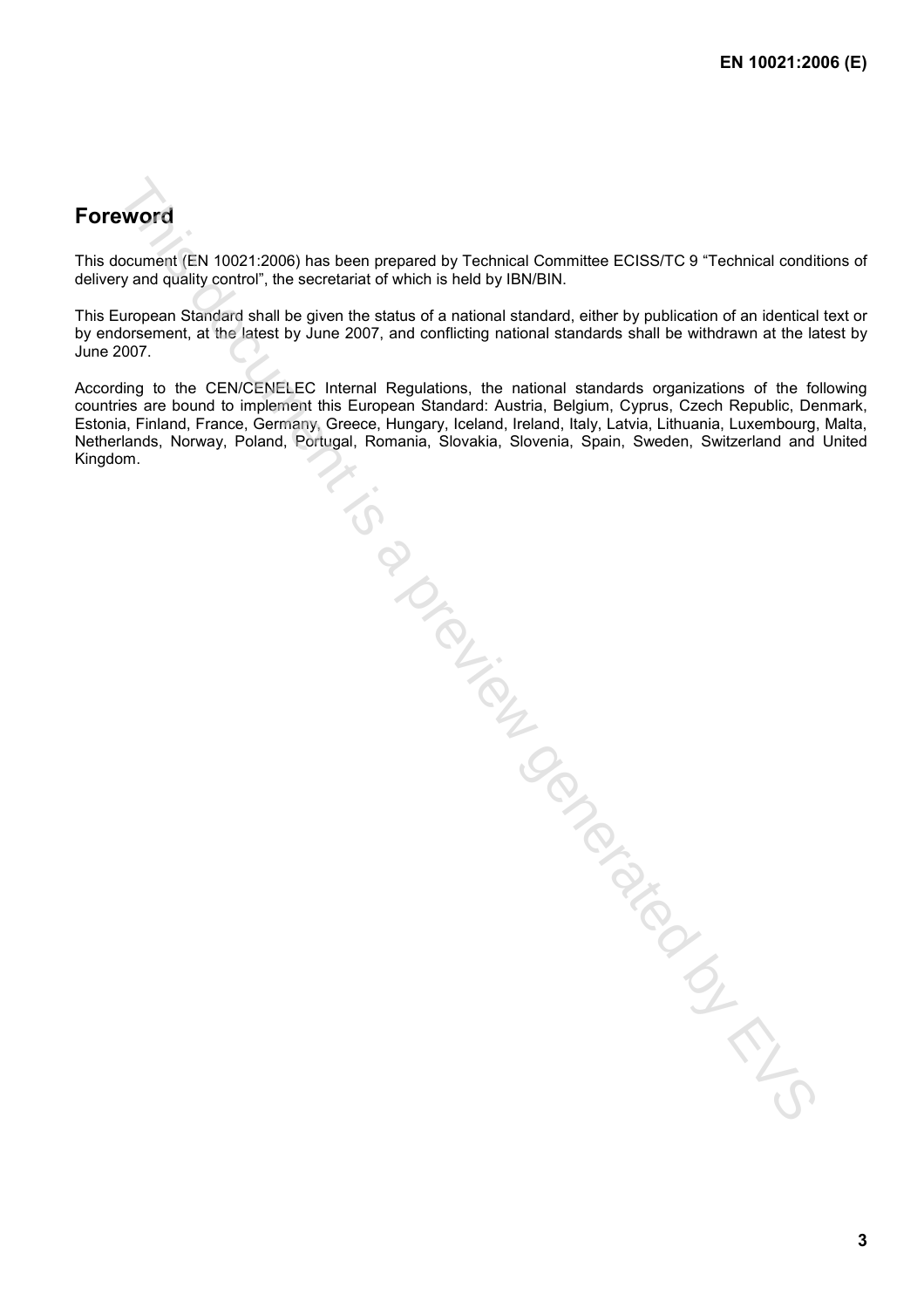### **Foreword**

This document (EN 10021:2006) has been prepared by Technical Committee ECISS/TC 9 "Technical conditions of delivery and quality control", the secretariat of which is held by IBN/BIN.

This European Standard shall be given the status of a national standard, either by publication of an identical text or by endorsement, at the latest by June 2007, and conflicting national standards shall be withdrawn at the latest by June 2007.

According to the CEN/CENELEC Internal Regulations, the national standards organizations of the following countries are bound to implement this European Standard: Austria, Belgium, Cyprus, Czech Republic, Denmark, Estonia, Finland, France, Germany, Greece, Hungary, Iceland, Ireland, Italy, Latvia, Lithuania, Luxembourg, Malta, Netherlands, Norway, Poland, Portugal, Romania, Slovakia, Slovenia, Spain, Sweden, Switzerland and United Estate Indiana, Norway, Proteina, Pórtugal. Romania. Slovakia, Slovakia, Slovakia, Slovakia, Slovakia, Slovakia, Slovakia, Slovakia, Slovakia, Slovakia, Slovakia, Slovakia, Slovakia, Slovakia, Slovakia, Slovakia, Slovakia,